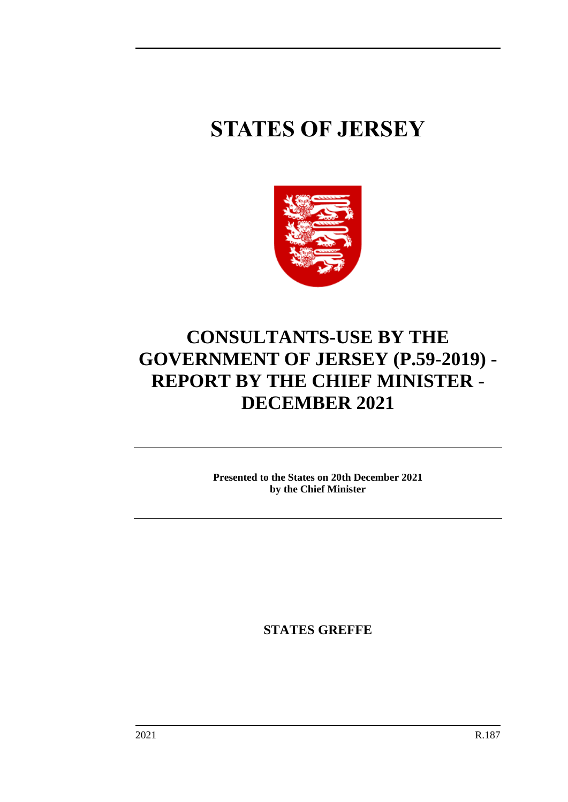# **STATES OF JERSEY**



# **CONSULTANTS-USE BY THE GOVERNMENT OF JERSEY (P.59-2019) - REPORT BY THE CHIEF MINISTER - DECEMBER 2021**

**Presented to the States on 20th December 2021 by the Chief Minister**

**STATES GREFFE**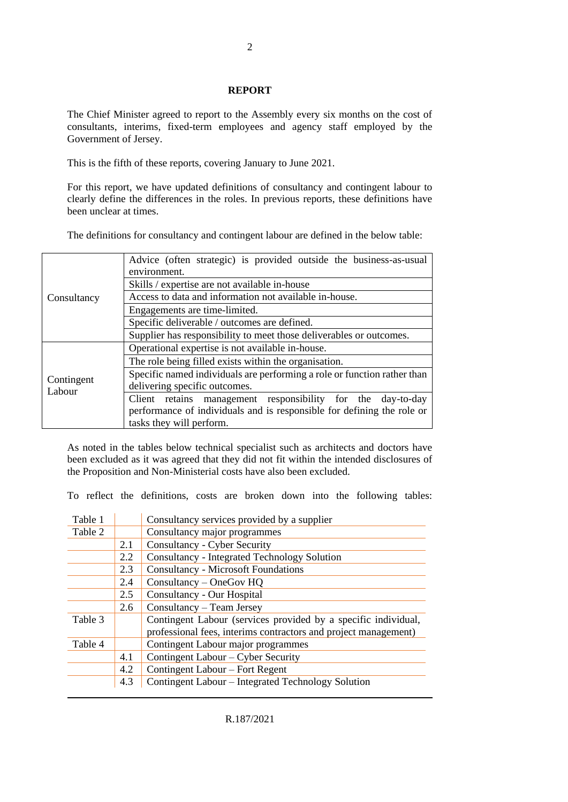#### **REPORT**

The Chief Minister agreed to report to the Assembly every six months on the cost of consultants, interims, fixed-term employees and agency staff employed by the Government of Jersey.

This is the fifth of these reports, covering January to June 2021.

For this report, we have updated definitions of consultancy and contingent labour to clearly define the differences in the roles. In previous reports, these definitions have been unclear at times.

The definitions for consultancy and contingent labour are defined in the below table:

|             | Advice (often strategic) is provided outside the business-as-usual       |  |  |  |  |  |  |  |
|-------------|--------------------------------------------------------------------------|--|--|--|--|--|--|--|
|             | environment.                                                             |  |  |  |  |  |  |  |
| Consultancy | Skills / expertise are not available in-house                            |  |  |  |  |  |  |  |
|             | Access to data and information not available in-house.                   |  |  |  |  |  |  |  |
|             | Engagements are time-limited.                                            |  |  |  |  |  |  |  |
|             | Specific deliverable / outcomes are defined.                             |  |  |  |  |  |  |  |
|             | Supplier has responsibility to meet those deliverables or outcomes.      |  |  |  |  |  |  |  |
|             | Operational expertise is not available in-house.                         |  |  |  |  |  |  |  |
|             | The role being filled exists within the organisation.                    |  |  |  |  |  |  |  |
| Contingent  | Specific named individuals are performing a role or function rather than |  |  |  |  |  |  |  |
| Labour      | delivering specific outcomes.                                            |  |  |  |  |  |  |  |
|             | Client retains management responsibility for the day-to-day              |  |  |  |  |  |  |  |
|             | performance of individuals and is responsible for defining the role or   |  |  |  |  |  |  |  |
|             | tasks they will perform.                                                 |  |  |  |  |  |  |  |

As noted in the tables below technical specialist such as architects and doctors have been excluded as it was agreed that they did not fit within the intended disclosures of the Proposition and Non-Ministerial costs have also been excluded.

To reflect the definitions, costs are broken down into the following tables:

| Table 1 |     | Consultancy services provided by a supplier                     |
|---------|-----|-----------------------------------------------------------------|
| Table 2 |     | Consultancy major programmes                                    |
|         | 2.1 | <b>Consultancy - Cyber Security</b>                             |
|         | 2.2 | Consultancy - Integrated Technology Solution                    |
|         | 2.3 | <b>Consultancy - Microsoft Foundations</b>                      |
|         | 2.4 | Consultancy - OneGov HQ                                         |
|         | 2.5 | Consultancy - Our Hospital                                      |
|         | 2.6 | $Consultancy - Team Jersey$                                     |
| Table 3 |     | Contingent Labour (services provided by a specific individual,  |
|         |     | professional fees, interims contractors and project management) |
| Table 4 |     | Contingent Labour major programmes                              |
|         | 4.1 | Contingent Labour – Cyber Security                              |
|         | 4.2 | Contingent Labour – Fort Regent                                 |
|         | 4.3 | Contingent Labour – Integrated Technology Solution              |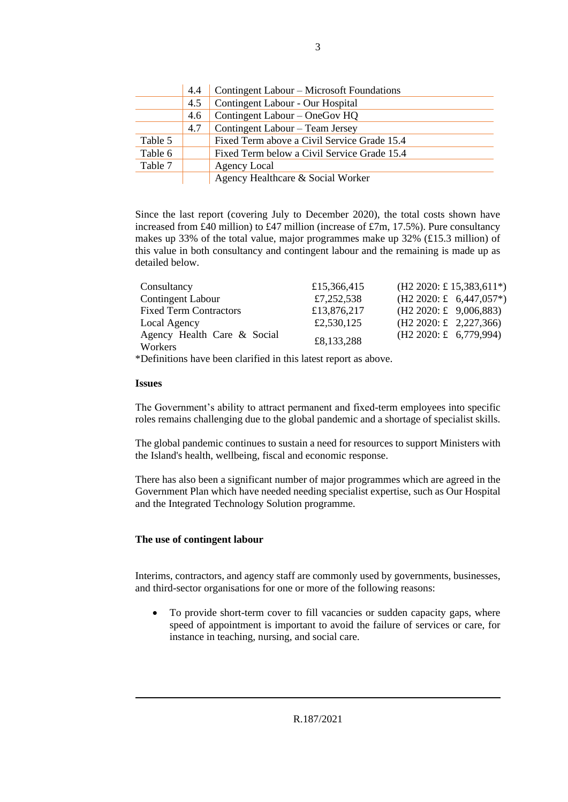|         | 4.4 | Contingent Labour – Microsoft Foundations   |
|---------|-----|---------------------------------------------|
|         | 4.5 | Contingent Labour - Our Hospital            |
|         | 4.6 | Contingent Labour – OneGov HQ               |
|         | 4.7 | Contingent Labour – Team Jersey             |
| Table 5 |     | Fixed Term above a Civil Service Grade 15.4 |
| Table 6 |     | Fixed Term below a Civil Service Grade 15.4 |
| Table 7 |     | Agency Local                                |
|         |     | Agency Healthcare & Social Worker           |

Since the last report (covering July to December 2020), the total costs shown have increased from £40 million) to £47 million (increase of £7m, 17.5%). Pure consultancy makes up 33% of the total value, major programmes make up 32% (£15.3 million) of this value in both consultancy and contingent labour and the remaining is made up as detailed below.

| Consultancy                            | £15,366,415 | $(H2 2020: \pounds 15,383,611*)$            |
|----------------------------------------|-------------|---------------------------------------------|
| <b>Contingent Labour</b>               | £7,252,538  | $(H2 2020; \pounds 6,447,057*)$             |
| <b>Fixed Term Contractors</b>          | £13,876,217 | $(H2 2020: \text{£} 9,006,883)$             |
| Local Agency                           | £2,530,125  | $(H2 2020: \pounds 2, 227, 366)$            |
| Agency Health Care & Social<br>Workers | £8,133,288  | $(H2 2020: \text{\textsterling} 6,779,994)$ |

\*Definitions have been clarified in this latest report as above.

#### **Issues**

The Government's ability to attract permanent and fixed-term employees into specific roles remains challenging due to the global pandemic and a shortage of specialist skills.

The global pandemic continues to sustain a need for resources to support Ministers with the Island's health, wellbeing, fiscal and economic response.

There has also been a significant number of major programmes which are agreed in the Government Plan which have needed needing specialist expertise, such as Our Hospital and the Integrated Technology Solution programme.

### **The use of contingent labour**

Interims, contractors, and agency staff are commonly used by governments, businesses, and third-sector organisations for one or more of the following reasons:

• To provide short-term cover to fill vacancies or sudden capacity gaps, where speed of appointment is important to avoid the failure of services or care, for instance in teaching, nursing, and social care.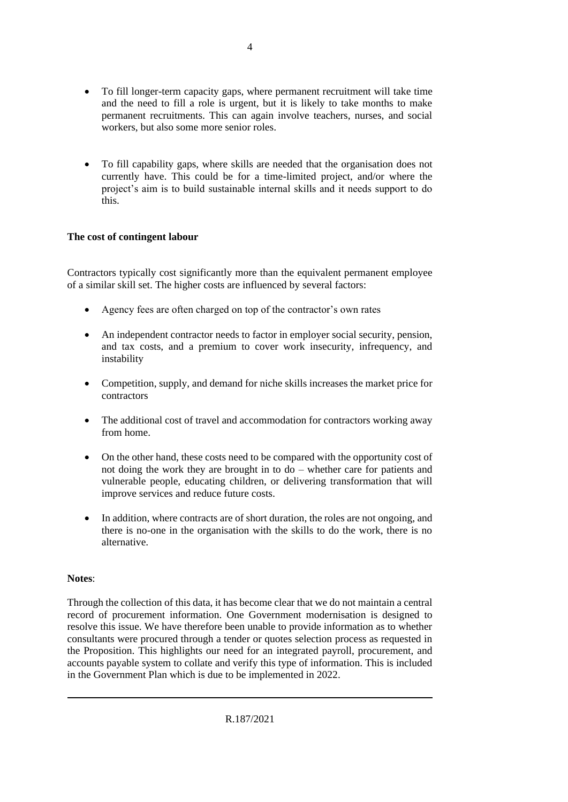- To fill longer-term capacity gaps, where permanent recruitment will take time and the need to fill a role is urgent, but it is likely to take months to make permanent recruitments. This can again involve teachers, nurses, and social workers, but also some more senior roles.
- To fill capability gaps, where skills are needed that the organisation does not currently have. This could be for a time-limited project, and/or where the project's aim is to build sustainable internal skills and it needs support to do this.

### **The cost of contingent labour**

Contractors typically cost significantly more than the equivalent permanent employee of a similar skill set. The higher costs are influenced by several factors:

- Agency fees are often charged on top of the contractor's own rates
- An independent contractor needs to factor in employer social security, pension, and tax costs, and a premium to cover work insecurity, infrequency, and instability
- Competition, supply, and demand for niche skills increases the market price for contractors
- The additional cost of travel and accommodation for contractors working away from home.
- On the other hand, these costs need to be compared with the opportunity cost of not doing the work they are brought in to do – whether care for patients and vulnerable people, educating children, or delivering transformation that will improve services and reduce future costs.
- In addition, where contracts are of short duration, the roles are not ongoing, and there is no-one in the organisation with the skills to do the work, there is no alternative.

### **Notes**:

Through the collection of this data, it has become clear that we do not maintain a central record of procurement information. One Government modernisation is designed to resolve this issue. We have therefore been unable to provide information as to whether consultants were procured through a tender or quotes selection process as requested in the Proposition. This highlights our need for an integrated payroll, procurement, and accounts payable system to collate and verify this type of information. This is included in the Government Plan which is due to be implemented in 2022.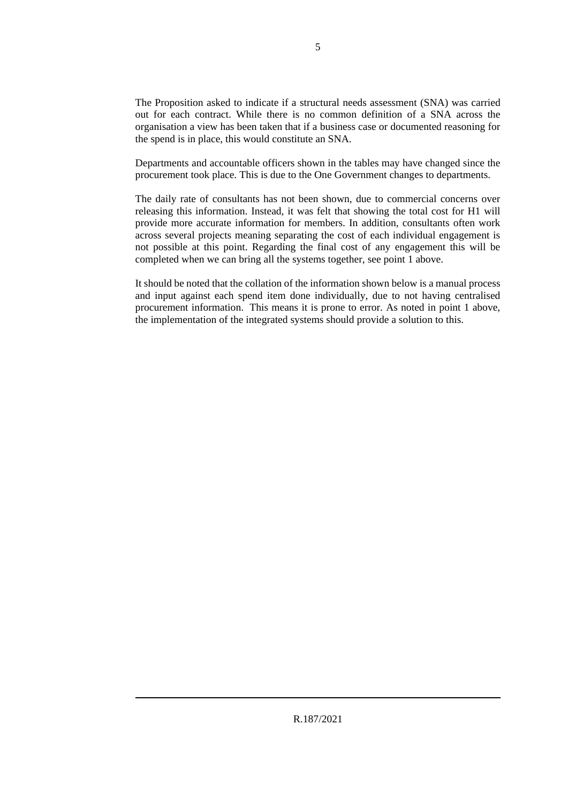The Proposition asked to indicate if a structural needs assessment (SNA) was carried out for each contract. While there is no common definition of a SNA across the organisation a view has been taken that if a business case or documented reasoning for the spend is in place, this would constitute an SNA.

Departments and accountable officers shown in the tables may have changed since the procurement took place. This is due to the One Government changes to departments.

The daily rate of consultants has not been shown, due to commercial concerns over releasing this information. Instead, it was felt that showing the total cost for H1 will provide more accurate information for members. In addition, consultants often work across several projects meaning separating the cost of each individual engagement is not possible at this point. Regarding the final cost of any engagement this will be completed when we can bring all the systems together, see point 1 above.

It should be noted that the collation of the information shown below is a manual process and input against each spend item done individually, due to not having centralised procurement information. This means it is prone to error. As noted in point 1 above, the implementation of the integrated systems should provide a solution to this.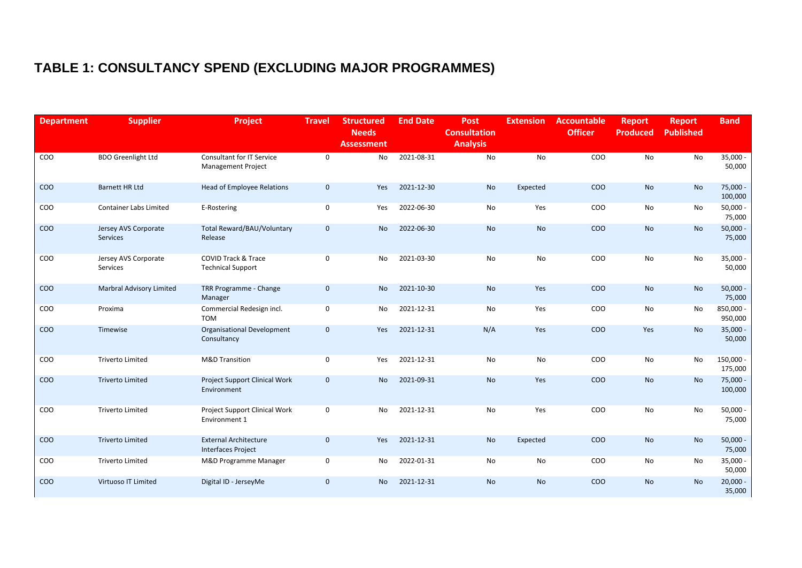# **TABLE 1: CONSULTANCY SPEND (EXCLUDING MAJOR PROGRAMMES)**

| <b>Department</b> | <b>Supplier</b>                         | Project                                                       | <b>Travel</b> | <b>Structured</b><br><b>Needs</b><br><b>Assessment</b> | <b>End Date</b> | Post<br><b>Consultation</b><br><b>Analysis</b> | <b>Extension</b> | <b>Accountable</b><br><b>Officer</b> | <b>Report</b><br><b>Produced</b> | <b>Report</b><br><b>Published</b> | <b>Band</b>            |
|-------------------|-----------------------------------------|---------------------------------------------------------------|---------------|--------------------------------------------------------|-----------------|------------------------------------------------|------------------|--------------------------------------|----------------------------------|-----------------------------------|------------------------|
| COO               | <b>BDO Greenlight Ltd</b>               | <b>Consultant for IT Service</b><br><b>Management Project</b> | 0             | No                                                     | 2021-08-31      | <b>No</b>                                      | <b>No</b>        | COO                                  | No                               | No                                | $35,000 -$<br>50,000   |
| COO               | <b>Barnett HR Ltd</b>                   | <b>Head of Employee Relations</b>                             | $\mathbf 0$   | Yes                                                    | 2021-12-30      | No                                             | Expected         | <b>COO</b>                           | No                               | <b>No</b>                         | 75,000 -<br>100,000    |
| COO               | <b>Container Labs Limited</b>           | E-Rostering                                                   | 0             | Yes                                                    | 2022-06-30      | No                                             | Yes              | COO                                  | No                               | No                                | $50,000 -$<br>75,000   |
| COO               | Jersey AVS Corporate<br><b>Services</b> | Total Reward/BAU/Voluntary<br>Release                         | $\mathbf 0$   | <b>No</b>                                              | 2022-06-30      | No                                             | No               | COO                                  | <b>No</b>                        | <b>No</b>                         | $50,000 -$<br>75,000   |
| COO               | Jersey AVS Corporate<br>Services        | <b>COVID Track &amp; Trace</b><br><b>Technical Support</b>    | 0             | No                                                     | 2021-03-30      | No                                             | No               | COO                                  | No                               | No                                | $35,000 -$<br>50,000   |
| COO               | <b>Marbral Advisory Limited</b>         | TRR Programme - Change<br>Manager                             | $\mathbf 0$   | No                                                     | 2021-10-30      | No                                             | Yes              | <b>COO</b>                           | No                               | No                                | $50,000 -$<br>75,000   |
| COO               | Proxima                                 | Commercial Redesign incl.<br><b>TOM</b>                       | 0             | No                                                     | 2021-12-31      | No                                             | Yes              | COO                                  | No                               | No                                | 850,000 -<br>950,000   |
| COO               | Timewise                                | <b>Organisational Development</b><br>Consultancy              | $\mathbf 0$   | Yes                                                    | 2021-12-31      | N/A                                            | Yes              | COO                                  | Yes                              | <b>No</b>                         | $35,000 -$<br>50,000   |
| COO               | <b>Triverto Limited</b>                 | <b>M&amp;D Transition</b>                                     | 0             | Yes                                                    | 2021-12-31      | No                                             | No               | COO                                  | No                               | No                                | $150,000 -$<br>175,000 |
| COO               | <b>Triverto Limited</b>                 | Project Support Clinical Work<br>Environment                  | $\pmb{0}$     | No                                                     | 2021-09-31      | No                                             | Yes              | COO                                  | No                               | <b>No</b>                         | 75,000 -<br>100,000    |
| COO               | <b>Triverto Limited</b>                 | Project Support Clinical Work<br>Environment 1                | 0             | No                                                     | 2021-12-31      | No                                             | Yes              | COO                                  | No                               | No                                | $50,000 -$<br>75,000   |
| COO               | <b>Triverto Limited</b>                 | <b>External Architecture</b><br><b>Interfaces Project</b>     | $\mathbf 0$   | Yes                                                    | 2021-12-31      | No                                             | Expected         | COO                                  | No                               | <b>No</b>                         | $50,000 -$<br>75,000   |
| COO               | <b>Triverto Limited</b>                 | M&D Programme Manager                                         | 0             | No                                                     | 2022-01-31      | No                                             | No               | COO                                  | No                               | No                                | $35,000 -$<br>50,000   |
| COO               | Virtuoso IT Limited                     | Digital ID - JerseyMe                                         | $\mathbf 0$   | <b>No</b>                                              | 2021-12-31      | No                                             | <b>No</b>        | COO                                  | No                               | <b>No</b>                         | $20,000 -$<br>35,000   |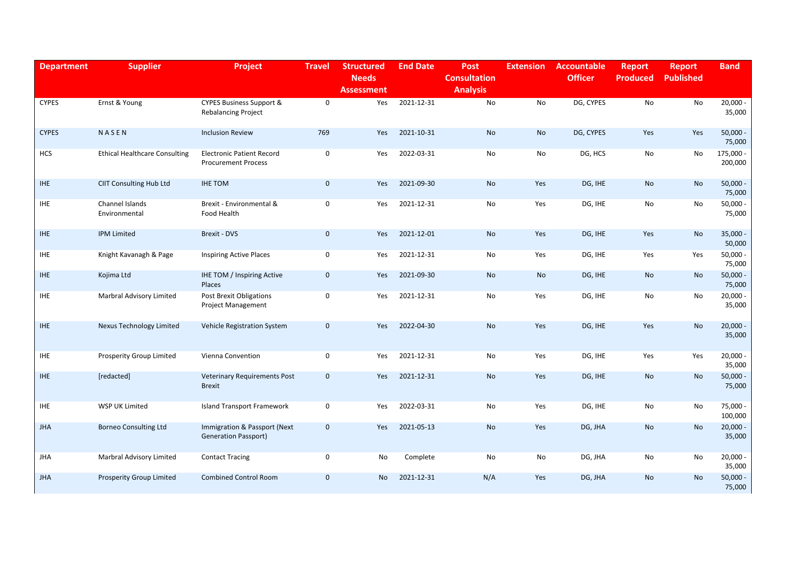| <b>Department</b> | <b>Supplier</b>                      | Project                                                        | <b>Travel</b> | <b>Structured</b><br><b>Needs</b><br><b>Assessment</b> | <b>End Date</b> | <b>Post</b><br><b>Consultation</b><br><b>Analysis</b> | <b>Extension</b> | <b>Accountable</b><br><b>Officer</b> | <b>Report</b><br><b>Produced</b> | <b>Report</b><br><b>Published</b> | <b>Band</b>          |
|-------------------|--------------------------------------|----------------------------------------------------------------|---------------|--------------------------------------------------------|-----------------|-------------------------------------------------------|------------------|--------------------------------------|----------------------------------|-----------------------------------|----------------------|
| <b>CYPES</b>      | Ernst & Young                        | CYPES Business Support &<br><b>Rebalancing Project</b>         | $\mathbf 0$   | Yes                                                    | 2021-12-31      | No                                                    | No               | DG, CYPES                            | No                               | No                                | $20,000 -$<br>35,000 |
| <b>CYPES</b>      | NASEN                                | <b>Inclusion Review</b>                                        | 769           | Yes                                                    | 2021-10-31      | No                                                    | No               | DG, CYPES                            | Yes                              | Yes                               | $50,000 -$<br>75,000 |
| HCS               | <b>Ethical Healthcare Consulting</b> | <b>Electronic Patient Record</b><br><b>Procurement Process</b> | $\mathsf 0$   | Yes                                                    | 2022-03-31      | No                                                    | No               | DG, HCS                              | No                               | No                                | 175,000 -<br>200,000 |
| <b>IHE</b>        | <b>CIIT Consulting Hub Ltd</b>       | <b>IHE TOM</b>                                                 | $\mathbf 0$   | <b>Yes</b>                                             | 2021-09-30      | <b>No</b>                                             | Yes              | DG, IHE                              | <b>No</b>                        | <b>No</b>                         | $50,000 -$<br>75,000 |
| <b>IHE</b>        | Channel Islands<br>Environmental     | Brexit - Environmental &<br>Food Health                        | $\mathbf 0$   | Yes                                                    | 2021-12-31      | No                                                    | Yes              | DG, IHE                              | No                               | No                                | $50,000 -$<br>75,000 |
| <b>IHE</b>        | <b>IPM Limited</b>                   | Brexit - DVS                                                   | $\mathbf 0$   | Yes                                                    | 2021-12-01      | No                                                    | Yes              | DG, IHE                              | Yes                              | <b>No</b>                         | $35,000 -$<br>50,000 |
| <b>IHE</b>        | Knight Kavanagh & Page               | <b>Inspiring Active Places</b>                                 | $\mathsf 0$   | Yes                                                    | 2021-12-31      | No                                                    | Yes              | DG, IHE                              | Yes                              | Yes                               | $50,000 -$<br>75,000 |
| <b>IHE</b>        | Kojima Ltd                           | IHE TOM / Inspiring Active<br>Places                           | $\mathbf 0$   | Yes                                                    | 2021-09-30      | No                                                    | No               | DG, IHE                              | No                               | No                                | 50,000<br>75,000     |
| <b>IHE</b>        | Marbral Advisory Limited             | Post Brexit Obligations<br><b>Project Management</b>           | $\mathsf 0$   | Yes                                                    | 2021-12-31      | No                                                    | Yes              | DG, IHE                              | No                               | No                                | $20,000 -$<br>35,000 |
| <b>IHE</b>        | Nexus Technology Limited             | Vehicle Registration System                                    | $\mathbf 0$   | Yes                                                    | 2022-04-30      | No                                                    | Yes              | DG, IHE                              | Yes                              | <b>No</b>                         | $20,000 -$<br>35,000 |
| <b>IHE</b>        | Prosperity Group Limited             | Vienna Convention                                              | $\mathbf 0$   | Yes                                                    | 2021-12-31      | No                                                    | Yes              | DG, IHE                              | Yes                              | Yes                               | $20,000 -$<br>35,000 |
| <b>IHE</b>        | [redacted]                           | <b>Veterinary Requirements Post</b><br><b>Brexit</b>           | $\mathbf 0$   | Yes                                                    | 2021-12-31      | <b>No</b>                                             | Yes              | DG, IHE                              | No                               | No                                | $50,000 -$<br>75,000 |
| <b>IHE</b>        | WSP UK Limited                       | <b>Island Transport Framework</b>                              | $\pmb{0}$     | Yes                                                    | 2022-03-31      | No                                                    | Yes              | DG, IHE                              | No                               | No                                | 75,000<br>100,000    |
| <b>JHA</b>        | <b>Borneo Consulting Ltd</b>         | Immigration & Passport (Next<br><b>Generation Passport)</b>    | $\mathbf 0$   | Yes                                                    | 2021-05-13      | <b>No</b>                                             | Yes              | DG, JHA                              | <b>No</b>                        | <b>No</b>                         | $20,000 -$<br>35,000 |
| JHA               | Marbral Advisory Limited             | <b>Contact Tracing</b>                                         | 0             | No                                                     | Complete        | No                                                    | No               | DG, JHA                              | No                               | No                                | $20,000 -$<br>35,000 |
| <b>JHA</b>        | <b>Prosperity Group Limited</b>      | <b>Combined Control Room</b>                                   | $\mathbf{0}$  | <b>No</b>                                              | 2021-12-31      | N/A                                                   | Yes              | DG, JHA                              | <b>No</b>                        | <b>No</b>                         | $50,000 -$<br>75,000 |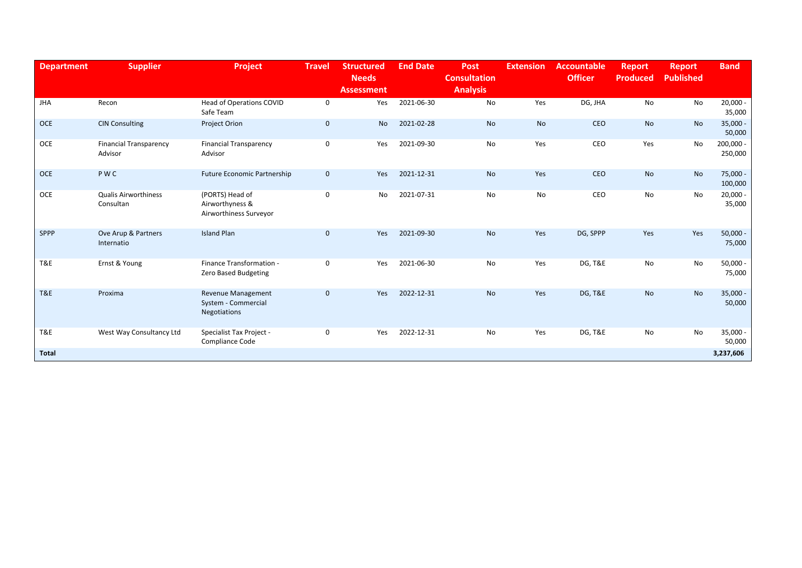| <b>Department</b> | <b>Supplier</b>                          | <b>Project</b>                                                   | <b>Travel</b> | <b>Structured</b><br><b>Needs</b><br><b>Assessment</b> | <b>End Date</b> | Post<br><b>Consultation</b><br><b>Analysis</b> | <b>Extension</b> | <b>Accountable</b><br><b>Officer</b> | <b>Report</b><br><b>Produced</b> | <b>Report</b><br><b>Published</b> | <b>Band</b>            |
|-------------------|------------------------------------------|------------------------------------------------------------------|---------------|--------------------------------------------------------|-----------------|------------------------------------------------|------------------|--------------------------------------|----------------------------------|-----------------------------------|------------------------|
| <b>JHA</b>        | Recon                                    | Head of Operations COVID<br>Safe Team                            | 0             | Yes                                                    | 2021-06-30      | No                                             | Yes              | DG, JHA                              | No                               | No                                | $20,000 -$<br>35,000   |
| <b>OCE</b>        | <b>CIN Consulting</b>                    | Project Orion                                                    | $\mathbf 0$   | No                                                     | 2021-02-28      | <b>No</b>                                      | No               | CEO                                  | <b>No</b>                        | <b>No</b>                         | $35,000 -$<br>50,000   |
| <b>OCE</b>        | <b>Financial Transparency</b><br>Advisor | <b>Financial Transparency</b><br>Advisor                         | $\mathbf 0$   | Yes                                                    | 2021-09-30      | No                                             | Yes              | CEO                                  | Yes                              | No                                | $200,000 -$<br>250,000 |
| <b>OCE</b>        | PWC                                      | <b>Future Economic Partnership</b>                               | $\mathbf 0$   | Yes                                                    | 2021-12-31      | No                                             | Yes              | <b>CEO</b>                           | <b>No</b>                        | No                                | $75,000 -$<br>100,000  |
| <b>OCE</b>        | <b>Qualis Airworthiness</b><br>Consultan | (PORTS) Head of<br>Airworthyness &<br>Airworthiness Surveyor     | $\mathbf 0$   | No                                                     | 2021-07-31      | No                                             | No               | CEO                                  | No                               | No                                | $20,000 -$<br>35,000   |
| <b>SPPP</b>       | Ove Arup & Partners<br>Internatio        | <b>Island Plan</b>                                               | $\mathbf{0}$  | Yes                                                    | 2021-09-30      | No                                             | Yes              | DG, SPPP                             | Yes                              | Yes                               | $50,000 -$<br>75,000   |
| T&E               | Ernst & Young                            | Finance Transformation -<br>Zero Based Budgeting                 | $\mathbf 0$   | Yes                                                    | 2021-06-30      | No                                             | Yes              | <b>DG, T&amp;E</b>                   | No                               | No                                | $50,000 -$<br>75,000   |
| T&E               | Proxima                                  | <b>Revenue Management</b><br>System - Commercial<br>Negotiations | $\mathbf 0$   | Yes                                                    | 2022-12-31      | <b>No</b>                                      | Yes              | <b>DG, T&amp;E</b>                   | <b>No</b>                        | No                                | $35,000 -$<br>50,000   |
| T&E               | West Way Consultancy Ltd                 | Specialist Tax Project -<br>Compliance Code                      | 0             | Yes                                                    | 2022-12-31      | No                                             | Yes              | <b>DG, T&amp;E</b>                   | No                               | No                                | $35,000 -$<br>50,000   |
| <b>Total</b>      |                                          |                                                                  |               |                                                        |                 |                                                |                  |                                      |                                  |                                   | 3,237,606              |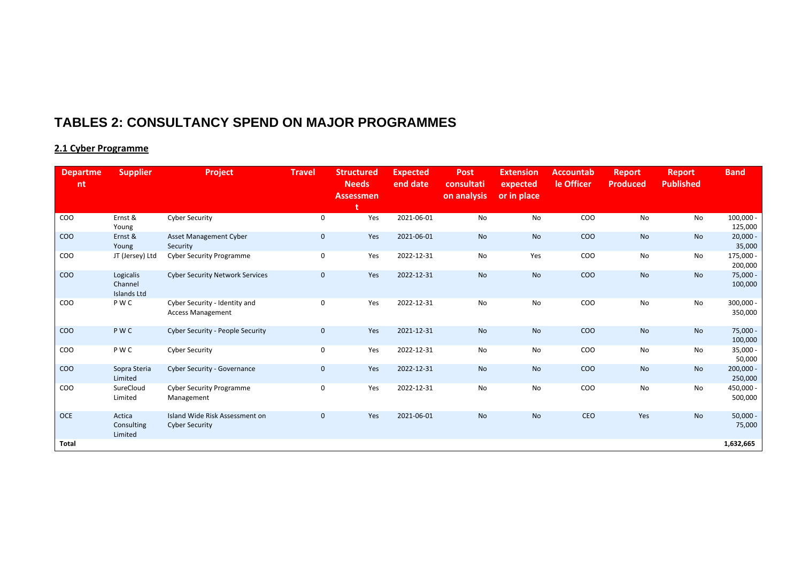### **TABLES 2: CONSULTANCY SPEND ON MAJOR PROGRAMMES**

### **2.1 Cyber Programme**

| <b>Departme</b><br>nt | <b>Supplier</b>                            | Project                                                   | <b>Travel</b> | <b>Structured</b><br><b>Needs</b><br><b>Assessmen</b> | <b>Expected</b><br>end date | <b>Post</b><br>consultati<br>on analysis | <b>Extension</b><br>expected<br>or in place | <b>Accountab</b><br>le Officer | <b>Report</b><br><b>Produced</b> | <b>Report</b><br><b>Published</b> | <b>Band</b>            |
|-----------------------|--------------------------------------------|-----------------------------------------------------------|---------------|-------------------------------------------------------|-----------------------------|------------------------------------------|---------------------------------------------|--------------------------------|----------------------------------|-----------------------------------|------------------------|
| COO                   | Ernst &<br>Young                           | <b>Cyber Security</b>                                     | 0             | Yes                                                   | 2021-06-01                  | No                                       | No                                          | COO                            | No                               | No                                | $100,000 -$<br>125,000 |
| COO                   | Ernst &<br>Young                           | Asset Management Cyber<br>Security                        | $\mathbf 0$   | Yes                                                   | 2021-06-01                  | <b>No</b>                                | No                                          | COO                            | <b>No</b>                        | No                                | $20,000 -$<br>35,000   |
| COO                   | JT (Jersey) Ltd                            | <b>Cyber Security Programme</b>                           | 0             | Yes                                                   | 2022-12-31                  | No                                       | Yes                                         | COO                            | No                               | No                                | 175,000 -<br>200,000   |
| COO                   | Logicalis<br>Channel<br><b>Islands Ltd</b> | <b>Cyber Security Network Services</b>                    | $\mathbf 0$   | Yes                                                   | 2022-12-31                  | <b>No</b>                                | No                                          | COO                            | <b>No</b>                        | No                                | 75,000 -<br>100,000    |
| COO                   | P W C                                      | Cyber Security - Identity and<br><b>Access Management</b> | $\mathsf 0$   | Yes                                                   | 2022-12-31                  | No                                       | No                                          | COO                            | No                               | No                                | 300,000 -<br>350,000   |
| COO                   | <b>PWC</b>                                 | Cyber Security - People Security                          | $\mathbf 0$   | Yes                                                   | 2021-12-31                  | <b>No</b>                                | No                                          | COO                            | <b>No</b>                        | <b>No</b>                         | 75,000 -<br>100,000    |
| COO                   | P W C                                      | <b>Cyber Security</b>                                     | $\mathbf 0$   | Yes                                                   | 2022-12-31                  | No                                       | No                                          | COO                            | No                               | No                                | $35,000 -$<br>50,000   |
| COO                   | Sopra Steria<br>Limited                    | Cyber Security - Governance                               | $\mathbf 0$   | Yes                                                   | 2022-12-31                  | <b>No</b>                                | <b>No</b>                                   | COO                            | <b>No</b>                        | No                                | $200,000 -$<br>250,000 |
| COO                   | SureCloud<br>Limited                       | <b>Cyber Security Programme</b><br>Management             | $\mathbf 0$   | Yes                                                   | 2022-12-31                  | No                                       | No                                          | COO                            | No                               | No                                | 450,000 -<br>500,000   |
| <b>OCE</b>            | Actica<br>Consulting<br>Limited            | Island Wide Risk Assessment on<br><b>Cyber Security</b>   | $\mathbf 0$   | Yes                                                   | 2021-06-01                  | <b>No</b>                                | No                                          | CEO                            | Yes                              | <b>No</b>                         | $50,000 -$<br>75,000   |
| Total                 |                                            |                                                           |               |                                                       |                             |                                          |                                             |                                |                                  |                                   | 1,632,665              |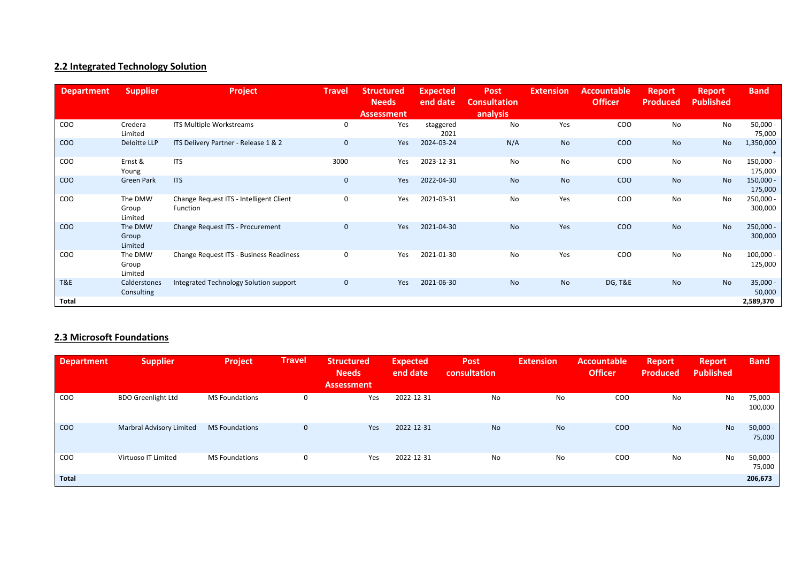### **2.2 Integrated Technology Solution**

| <b>Department</b> | <b>Supplier</b>             | Project                                             | <b>Travel</b> | <b>Structured</b><br><b>Needs</b><br><b>Assessment</b> | <b>Expected</b><br>end date | <b>Post</b><br><b>Consultation</b><br>analysis | <b>Extension</b> | <b>Accountable</b><br><b>Officer</b> | <b>Report</b><br><b>Produced</b> | <b>Report</b><br><b>Published</b> | <b>Band</b>            |
|-------------------|-----------------------------|-----------------------------------------------------|---------------|--------------------------------------------------------|-----------------------------|------------------------------------------------|------------------|--------------------------------------|----------------------------------|-----------------------------------|------------------------|
| COO               | Credera<br>Limited          | ITS Multiple Workstreams                            | 0             | Yes                                                    | staggered<br>2021           | No                                             | Yes              | COO                                  | No                               | No                                | $50,000 -$<br>75,000   |
| COO               | Deloitte LLP                | ITS Delivery Partner - Release 1 & 2                | $\mathbf 0$   | Yes                                                    | 2024-03-24                  | N/A                                            | No               | <b>COO</b>                           | <b>No</b>                        | No                                | 1,350,000<br>$^{+}$    |
| COO               | Ernst &<br>Young            | <b>ITS</b>                                          | 3000          | Yes                                                    | 2023-12-31                  | No                                             | No               | COO                                  | No                               | No                                | 150,000 -<br>175,000   |
| COO               | <b>Green Park</b>           | <b>ITS</b>                                          | $\mathbf 0$   | Yes                                                    | 2022-04-30                  | No                                             | No               | <b>COO</b>                           | <b>No</b>                        | No                                | $150,000 -$<br>175,000 |
| COO               | The DMW<br>Group<br>Limited | Change Request ITS - Intelligent Client<br>Function | 0             | Yes                                                    | 2021-03-31                  | No                                             | Yes              | COO                                  | No                               | No                                | $250,000 -$<br>300,000 |
| <b>COO</b>        | The DMW<br>Group<br>Limited | Change Request ITS - Procurement                    | $\mathbf 0$   | Yes                                                    | 2021-04-30                  | <b>No</b>                                      | Yes              | <b>COO</b>                           | <b>No</b>                        | No                                | $250,000 -$<br>300,000 |
| COO               | The DMW<br>Group<br>Limited | Change Request ITS - Business Readiness             | 0             | Yes                                                    | 2021-01-30                  | No                                             | Yes              | COO                                  | No                               | No                                | $100,000 -$<br>125,000 |
| T&E               | Calderstones<br>Consulting  | Integrated Technology Solution support              | $\mathbf 0$   | Yes                                                    | 2021-06-30                  | No                                             | No               | <b>DG, T&amp;E</b>                   | <b>No</b>                        | <b>No</b>                         | $35,000 -$<br>50,000   |
| Total             |                             |                                                     |               |                                                        |                             |                                                |                  |                                      |                                  |                                   | 2,589,370              |

### **2.3 Microsoft Foundations**

| <b>Department</b> | <b>Supplier</b>           | Project               | <b>Travel</b> | <b>Structured</b><br><b>Needs</b><br><b>Assessment</b> | <b>Expected</b><br>end date | <b>Post</b><br>consultation | <b>Extension</b> | Accountable<br><b>Officer</b> | Report<br><b>Produced</b> | <b>Report</b><br><b>Published</b> | <b>Band</b>          |
|-------------------|---------------------------|-----------------------|---------------|--------------------------------------------------------|-----------------------------|-----------------------------|------------------|-------------------------------|---------------------------|-----------------------------------|----------------------|
| COO               | <b>BDO Greenlight Ltd</b> | <b>MS Foundations</b> | $\Omega$      | Yes                                                    | 2022-12-31                  | No                          | No               | COO                           | No                        | No                                | 75,000 -<br>100,000  |
| <b>COO</b>        | Marbral Advisory Limited  | <b>MS Foundations</b> | $\mathbf{0}$  | Yes                                                    | 2022-12-31                  | No                          | <b>No</b>        | COO                           | <b>No</b>                 | No                                | $50,000 -$<br>75,000 |
| COO               | Virtuoso IT Limited       | <b>MS Foundations</b> | 0             | Yes                                                    | 2022-12-31                  | No                          | No               | COO                           | No                        | No                                | 50,000 -<br>75,000   |
| Total             |                           |                       |               |                                                        |                             |                             |                  |                               |                           |                                   | 206,673              |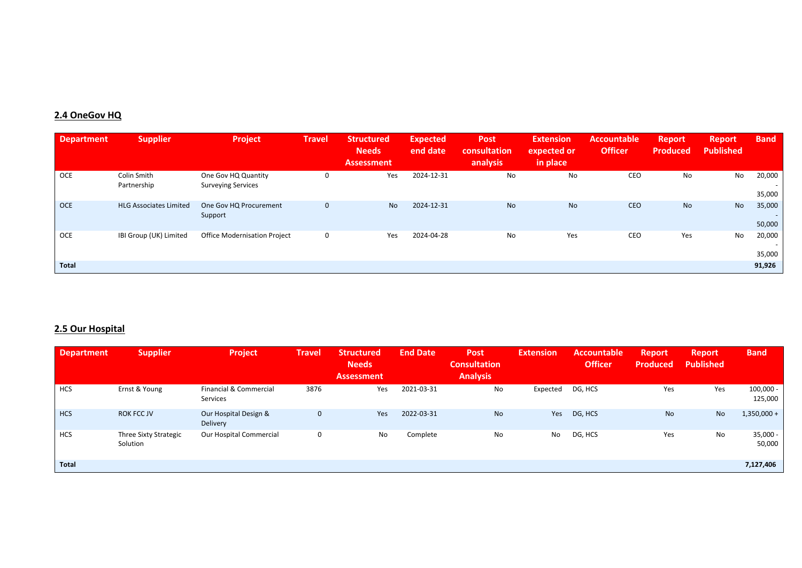### **2.4 OneGov HQ**

| <b>Department</b> | <b>Supplier</b>               | <b>Project</b>                                   | <b>Travel</b> | Structured<br><b>Needs</b><br><b>Assessment</b> | <b>Expected</b><br>end date | <b>Post</b><br>consultation<br>analysis | <b>Extension</b><br>expected or<br>in place | <b>Accountable</b><br><b>Officer</b> | <b>Report</b><br><b>Produced</b> | <b>Report</b><br><b>Published</b> | <b>Band</b>                                  |
|-------------------|-------------------------------|--------------------------------------------------|---------------|-------------------------------------------------|-----------------------------|-----------------------------------------|---------------------------------------------|--------------------------------------|----------------------------------|-----------------------------------|----------------------------------------------|
| OCE               | Colin Smith<br>Partnership    | One Gov HQ Quantity<br><b>Surveying Services</b> |               | Yes                                             | 2024-12-31                  | No                                      | No                                          | CEO                                  | No                               | No                                | 20,000<br>$\overline{\phantom{a}}$<br>35,000 |
| <b>OCE</b>        | <b>HLG Associates Limited</b> | One Gov HQ Procurement<br>Support                | 0             | N <sub>o</sub>                                  | 2024-12-31                  | <b>No</b>                               | <b>No</b>                                   | <b>CEO</b>                           | <b>No</b>                        | <b>No</b>                         | 35,000<br>$\overline{\phantom{a}}$<br>50,000 |
| OCE               | IBI Group (UK) Limited        | <b>Office Modernisation Project</b>              | 0             | Yes                                             | 2024-04-28                  | No                                      | Yes                                         | CEO                                  | Yes                              | No                                | 20,000<br>$\overline{\phantom{a}}$<br>35,000 |
| <b>Total</b>      |                               |                                                  |               |                                                 |                             |                                         |                                             |                                      |                                  |                                   | 91,926                                       |

### **2.5 Our Hospital**

| <b>Department</b> | <b>Supplier</b>                          | Project                            | <b>Travel</b> | <b>Structured</b><br><b>Needs</b><br><b>Assessment</b> | <b>End Date</b> | <b>Post</b><br><b>Consultation</b><br><b>Analysis</b> | <b>Extension</b> | <b>Accountable</b><br><b>Officer</b> | <b>Report</b><br><b>Produced</b> | <b>Report</b><br><b>Published</b> | <b>Band</b>            |
|-------------------|------------------------------------------|------------------------------------|---------------|--------------------------------------------------------|-----------------|-------------------------------------------------------|------------------|--------------------------------------|----------------------------------|-----------------------------------|------------------------|
| <b>HCS</b>        | Ernst & Young                            | Financial & Commercial<br>Services | 3876          | Yes                                                    | 2021-03-31      | No                                                    | Expected         | DG, HCS                              | Yes                              | Yes                               | $100,000 -$<br>125,000 |
| <b>HCS</b>        | <b>ROK FCC JV</b>                        | Our Hospital Design &<br>Delivery  | $\mathbf 0$   | Yes                                                    | 2022-03-31      | <b>No</b>                                             | Yes              | DG, HCS                              | <b>No</b>                        | <b>No</b>                         | $1,350,000 +$          |
| <b>HCS</b>        | <b>Three Sixty Strategic</b><br>Solution | Our Hospital Commercial            | 0             | No                                                     | Complete        | No                                                    | No               | DG, HCS                              | Yes                              | No                                | $35,000 -$<br>50,000   |
| <b>Total</b>      |                                          |                                    |               |                                                        |                 |                                                       |                  |                                      |                                  |                                   | 7,127,406              |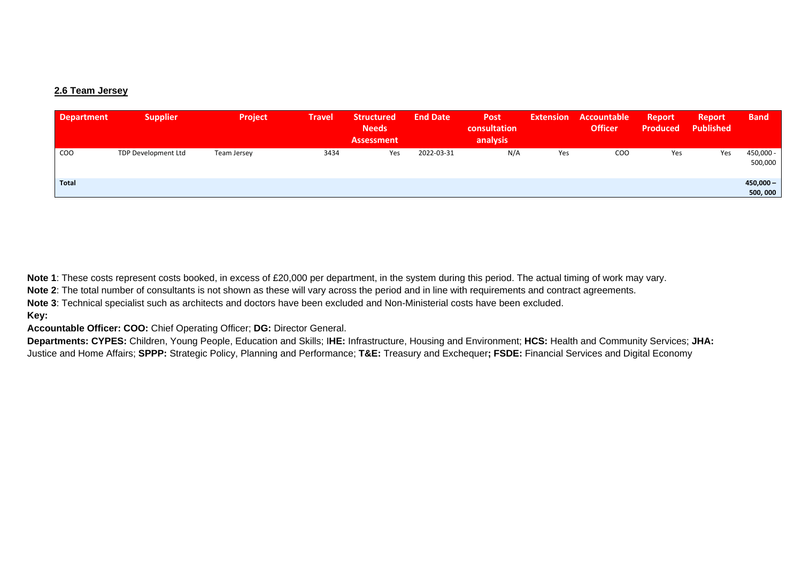### **2.6 Team Jersey**

| <b>Department</b> | <b>Supplier</b>            | <b>Project</b> | <b>Travel</b> | <b>Structured</b><br><b>Needs</b><br><b>Assessment</b> | <b>End Date</b> | <b>Post</b><br>consultation<br>analysis | <b>Extension</b> | Accountable<br><b>Officer</b> | <b>Report</b><br><b>Produced</b> | <b>Report</b><br><b>Published</b> | <b>Band</b>            |
|-------------------|----------------------------|----------------|---------------|--------------------------------------------------------|-----------------|-----------------------------------------|------------------|-------------------------------|----------------------------------|-----------------------------------|------------------------|
| COO               | <b>TDP Development Ltd</b> | Team Jersey    | 3434          | Yes                                                    | 2022-03-31      | N/A                                     | Yes              | <b>COO</b>                    | Yes                              | Yes                               | 450,000 -<br>500,000   |
| <b>Total</b>      |                            |                |               |                                                        |                 |                                         |                  |                               |                                  |                                   | $450,000 -$<br>500,000 |

**Note 1**: These costs represent costs booked, in excess of £20,000 per department, in the system during this period. The actual timing of work may vary.

**Note 2**: The total number of consultants is not shown as these will vary across the period and in line with requirements and contract agreements.

**Note 3**: Technical specialist such as architects and doctors have been excluded and Non-Ministerial costs have been excluded.

### **Key:**

**Accountable Officer: COO:** Chief Operating Officer; **DG:** Director General.

**Departments: CYPES:** Children, Young People, Education and Skills; I**HE:** Infrastructure, Housing and Environment; **HCS:** Health and Community Services; **JHA:**  Justice and Home Affairs; **SPPP:** Strategic Policy, Planning and Performance; **T&E:** Treasury and Exchequer**; FSDE:** Financial Services and Digital Economy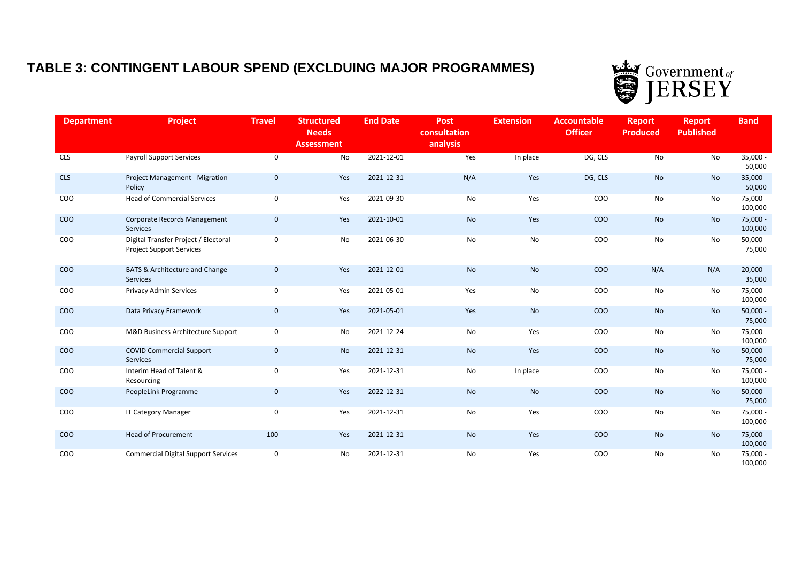# **TABLE 3: CONTINGENT LABOUR SPEND (EXCLDUING MAJOR PROGRAMMES)**



| <b>Department</b> | Project                                                                 | <b>Travel</b> | <b>Structured</b><br><b>Needs</b><br><b>Assessment</b> | <b>End Date</b> | <b>Post</b><br>consultation<br>analysis | <b>Extension</b> | <b>Accountable</b><br><b>Officer</b> | <b>Report</b><br><b>Produced</b> | <b>Report</b><br><b>Published</b> | <b>Band</b>           |
|-------------------|-------------------------------------------------------------------------|---------------|--------------------------------------------------------|-----------------|-----------------------------------------|------------------|--------------------------------------|----------------------------------|-----------------------------------|-----------------------|
| <b>CLS</b>        | <b>Payroll Support Services</b>                                         | $\mathbf 0$   | No                                                     | 2021-12-01      | Yes                                     | In place         | DG, CLS                              | No                               | No                                | $35,000 -$<br>50,000  |
| <b>CLS</b>        | Project Management - Migration<br>Policy                                | $\mathbf 0$   | Yes                                                    | 2021-12-31      | N/A                                     | Yes              | DG, CLS                              | <b>No</b>                        | <b>No</b>                         | $35,000 -$<br>50,000  |
| COO               | <b>Head of Commercial Services</b>                                      | 0             | Yes                                                    | 2021-09-30      | No                                      | Yes              | COO                                  | No                               | No                                | 75,000 -<br>100,000   |
| <b>COO</b>        | Corporate Records Management<br>Services                                | $\mathbf 0$   | Yes                                                    | 2021-10-01      | <b>No</b>                               | Yes              | COO                                  | No                               | <b>No</b>                         | 75,000<br>100,000     |
| COO               | Digital Transfer Project / Electoral<br><b>Project Support Services</b> | 0             | No                                                     | 2021-06-30      | No                                      | No               | COO                                  | No                               | No                                | $50,000 -$<br>75,000  |
| COO               | BATS & Architecture and Change<br>Services                              | $\mathbf 0$   | Yes                                                    | 2021-12-01      | <b>No</b>                               | <b>No</b>        | COO                                  | N/A                              | N/A                               | $20,000 -$<br>35,000  |
| COO               | <b>Privacy Admin Services</b>                                           | 0             | Yes                                                    | 2021-05-01      | Yes                                     | No               | COO                                  | No                               | No                                | 75,000 -<br>100,000   |
| COO               | Data Privacy Framework                                                  | $\mathbf 0$   | Yes                                                    | 2021-05-01      | Yes                                     | <b>No</b>        | COO                                  | <b>No</b>                        | <b>No</b>                         | $50,000 -$<br>75,000  |
| COO               | M&D Business Architecture Support                                       | 0             | No                                                     | 2021-12-24      | No                                      | Yes              | COO                                  | No                               | No                                | 75,000 -<br>100,000   |
| COO               | <b>COVID Commercial Support</b><br>Services                             | $\mathbf 0$   | No                                                     | 2021-12-31      | No                                      | Yes              | COO                                  | No                               | No                                | $50,000 -$<br>75,000  |
| COO               | Interim Head of Talent &<br>Resourcing                                  | 0             | Yes                                                    | 2021-12-31      | No                                      | In place         | COO                                  | No                               | No                                | 75,000 -<br>100,000   |
| COO               | PeopleLink Programme                                                    | $\mathbf 0$   | Yes                                                    | 2022-12-31      | <b>No</b>                               | <b>No</b>        | COO                                  | <b>No</b>                        | <b>No</b>                         | $50,000 -$<br>75,000  |
| COO               | <b>IT Category Manager</b>                                              | 0             | Yes                                                    | 2021-12-31      | No                                      | Yes              | COO                                  | No                               | No                                | 75,000<br>100,000     |
| COO               | <b>Head of Procurement</b>                                              | 100           | Yes                                                    | 2021-12-31      | <b>No</b>                               | Yes              | COO                                  | No                               | <b>No</b>                         | $75,000 -$<br>100,000 |
| COO               | <b>Commercial Digital Support Services</b>                              | 0             | No                                                     | 2021-12-31      | No                                      | Yes              | COO                                  | No                               | No                                | 75,000 -<br>100,000   |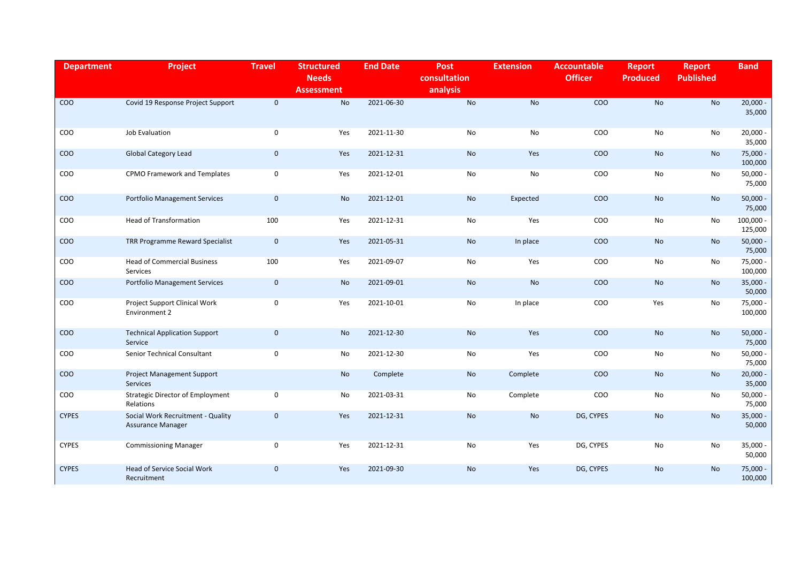| <b>Department</b> | <b>Project</b>                                                | <b>Travel</b> | <b>Structured</b><br><b>Needs</b><br><b>Assessment</b> | <b>End Date</b> | <b>Post</b><br>consultation<br>analysis | <b>Extension</b> | <b>Accountable</b><br><b>Officer</b> | <b>Report</b><br><b>Produced</b> | <b>Report</b><br><b>Published</b> | <b>Band</b>            |
|-------------------|---------------------------------------------------------------|---------------|--------------------------------------------------------|-----------------|-----------------------------------------|------------------|--------------------------------------|----------------------------------|-----------------------------------|------------------------|
| <b>COO</b>        | Covid 19 Response Project Support                             | $\mathbf{0}$  | <b>No</b>                                              | 2021-06-30      | <b>No</b>                               | <b>No</b>        | COO                                  | <b>No</b>                        | <b>No</b>                         | $20,000 -$<br>35,000   |
| COO               | Job Evaluation                                                | 0             | Yes                                                    | 2021-11-30      | No                                      | No               | COO                                  | No                               | No                                | $20,000 -$<br>35,000   |
| COO               | <b>Global Category Lead</b>                                   | $\mathbf 0$   | Yes                                                    | 2021-12-31      | <b>No</b>                               | Yes              | COO                                  | <b>No</b>                        | <b>No</b>                         | $75,000 -$<br>100,000  |
| COO               | CPMO Framework and Templates                                  | $\mathsf 0$   | Yes                                                    | 2021-12-01      | No                                      | No               | COO                                  | No                               | No                                | $50,000 -$<br>75,000   |
| COO               | <b>Portfolio Management Services</b>                          | $\mathbf 0$   | <b>No</b>                                              | 2021-12-01      | <b>No</b>                               | Expected         | CO <sub>O</sub>                      | <b>No</b>                        | <b>No</b>                         | $50,000 -$<br>75,000   |
| COO               | <b>Head of Transformation</b>                                 | 100           | Yes                                                    | 2021-12-31      | No                                      | Yes              | COO                                  | No                               | No                                | $100,000 -$<br>125,000 |
| <b>COO</b>        | TRR Programme Reward Specialist                               | $\mathbf 0$   | Yes                                                    | 2021-05-31      | No                                      | In place         | <b>COO</b>                           | No                               | No                                | $50,000 -$<br>75,000   |
| COO               | <b>Head of Commercial Business</b><br><b>Services</b>         | 100           | Yes                                                    | 2021-09-07      | No                                      | Yes              | COO                                  | No                               | No                                | 75,000 -<br>100,000    |
| COO               | <b>Portfolio Management Services</b>                          | $\mathbf 0$   | <b>No</b>                                              | 2021-09-01      | <b>No</b>                               | <b>No</b>        | CO <sub>O</sub>                      | <b>No</b>                        | <b>No</b>                         | $35,000 -$<br>50,000   |
| COO               | Project Support Clinical Work<br>Environment 2                | $\mathbf 0$   | Yes                                                    | 2021-10-01      | No                                      | In place         | COO                                  | Yes                              | No                                | 75,000 -<br>100,000    |
| COO               | <b>Technical Application Support</b><br>Service               | $\mathbf 0$   | <b>No</b>                                              | 2021-12-30      | <b>No</b>                               | Yes              | CO <sub>O</sub>                      | <b>No</b>                        | <b>No</b>                         | $50,000 -$<br>75,000   |
| COO               | Senior Technical Consultant                                   | $\mathbf 0$   | No                                                     | 2021-12-30      | No                                      | Yes              | <b>COO</b>                           | No                               | No                                | $50,000 -$<br>75,000   |
| COO               | <b>Project Management Support</b><br><b>Services</b>          |               | <b>No</b>                                              | Complete        | <b>No</b>                               | Complete         | COO                                  | <b>No</b>                        | <b>No</b>                         | $20,000 -$<br>35,000   |
| COO               | <b>Strategic Director of Employment</b><br>Relations          | 0             | No                                                     | 2021-03-31      | No                                      | Complete         | COO                                  | No                               | No                                | $50,000 -$<br>75,000   |
| <b>CYPES</b>      | Social Work Recruitment - Quality<br><b>Assurance Manager</b> | $\mathbf 0$   | Yes                                                    | 2021-12-31      | <b>No</b>                               | <b>No</b>        | DG, CYPES                            | No                               | <b>No</b>                         | $35,000 -$<br>50,000   |
| <b>CYPES</b>      | <b>Commissioning Manager</b>                                  | 0             | Yes                                                    | 2021-12-31      | No                                      | Yes              | DG, CYPES                            | No                               | No                                | $35,000 -$<br>50,000   |
| <b>CYPES</b>      | <b>Head of Service Social Work</b><br>Recruitment             | $\mathbf 0$   | Yes                                                    | 2021-09-30      | <b>No</b>                               | Yes              | DG, CYPES                            | <b>No</b>                        | <b>No</b>                         | 75,000 -<br>100,000    |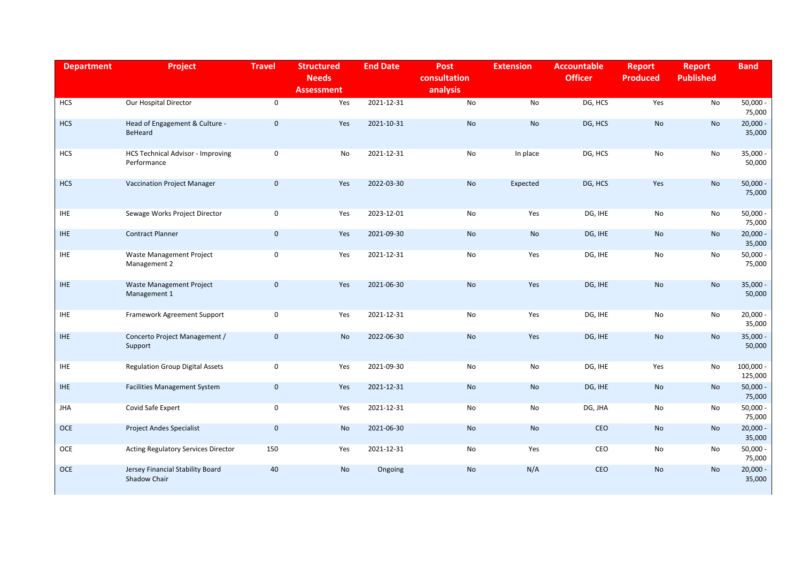| <b>Department</b> | <b>Project</b>                                          | <b>Travel</b> | <b>Structured</b><br><b>Needs</b><br><b>Assessment</b> | <b>End Date</b> | <b>Post</b><br>consultation<br>analysis | <b>Extension</b> | <b>Accountable</b><br><b>Officer</b> | <b>Report</b><br><b>Produced</b> | <b>Report</b><br><b>Published</b> | <b>Band</b>            |
|-------------------|---------------------------------------------------------|---------------|--------------------------------------------------------|-----------------|-----------------------------------------|------------------|--------------------------------------|----------------------------------|-----------------------------------|------------------------|
| <b>HCS</b>        | Our Hospital Director                                   | $\mathbf 0$   | Yes                                                    | 2021-12-31      | No                                      | No               | DG, HCS                              | Yes                              | No                                | $50,000 -$<br>75,000   |
| <b>HCS</b>        | Head of Engagement & Culture -<br>BeHeard               | $\mathbf 0$   | Yes                                                    | 2021-10-31      | No                                      | <b>No</b>        | DG, HCS                              | <b>No</b>                        | <b>No</b>                         | $20,000 -$<br>35,000   |
| <b>HCS</b>        | <b>HCS Technical Advisor - Improving</b><br>Performance | 0             | No                                                     | 2021-12-31      | No                                      | In place         | DG, HCS                              | No                               | No                                | $35,000 -$<br>50,000   |
| <b>HCS</b>        | <b>Vaccination Project Manager</b>                      | $\mathbf 0$   | Yes                                                    | 2022-03-30      | <b>No</b>                               | Expected         | DG, HCS                              | Yes                              | <b>No</b>                         | $50,000 -$<br>75,000   |
| <b>IHE</b>        | Sewage Works Project Director                           | $\mathsf 0$   | Yes                                                    | 2023-12-01      | No                                      | Yes              | DG, IHE                              | No                               | No                                | $50,000 -$<br>75,000   |
| IHE.              | <b>Contract Planner</b>                                 | $\mathbf 0$   | Yes                                                    | 2021-09-30      | <b>No</b>                               | <b>No</b>        | DG, IHE                              | No                               | <b>No</b>                         | $20,000 -$<br>35,000   |
| <b>IHE</b>        | <b>Waste Management Project</b><br>Management 2         | 0             | Yes                                                    | 2021-12-31      | No                                      | Yes              | DG, IHE                              | No                               | No                                | $50,000 -$<br>75,000   |
| <b>IHE</b>        | <b>Waste Management Project</b><br>Management 1         | $\mathbf 0$   | Yes                                                    | 2021-06-30      | <b>No</b>                               | Yes              | DG, IHE                              | <b>No</b>                        | <b>No</b>                         | $35,000 -$<br>50,000   |
| $IHE$             | Framework Agreement Support                             | 0             | Yes                                                    | 2021-12-31      | No                                      | Yes              | DG, IHE                              | No                               | No                                | $20,000 -$<br>35,000   |
| <b>IHE</b>        | Concerto Project Management /<br>Support                | $\mathbf 0$   | <b>No</b>                                              | 2022-06-30      | <b>No</b>                               | Yes              | DG, IHE                              | <b>No</b>                        | <b>No</b>                         | $35,000 -$<br>50,000   |
| <b>IHE</b>        | <b>Regulation Group Digital Assets</b>                  | $\mathsf 0$   | Yes                                                    | 2021-09-30      | No                                      | No               | DG, IHE                              | Yes                              | No                                | $100,000 -$<br>125,000 |
| IHE.              | <b>Facilities Management System</b>                     | $\mathbf 0$   | Yes                                                    | 2021-12-31      | <b>No</b>                               | No               | DG, IHE                              | <b>No</b>                        | <b>No</b>                         | $50,000 -$<br>75,000   |
| JHA               | Covid Safe Expert                                       | 0             | Yes                                                    | 2021-12-31      | No                                      | No               | DG, JHA                              | No                               | No                                | $50,000 -$<br>75,000   |
| <b>OCE</b>        | <b>Project Andes Specialist</b>                         | $\mathbf 0$   | No                                                     | 2021-06-30      | No                                      | No               | CEO                                  | No                               | <b>No</b>                         | $20,000 -$<br>35,000   |
| OCE               | Acting Regulatory Services Director                     | 150           | Yes                                                    | 2021-12-31      | No                                      | Yes              | CEO                                  | No                               | No                                | $50,000 -$<br>75,000   |
| <b>OCE</b>        | Jersey Financial Stability Board<br>Shadow Chair        | 40            | No                                                     | Ongoing         | No                                      | N/A              | CEO                                  | <b>No</b>                        | <b>No</b>                         | $20,000 -$<br>35,000   |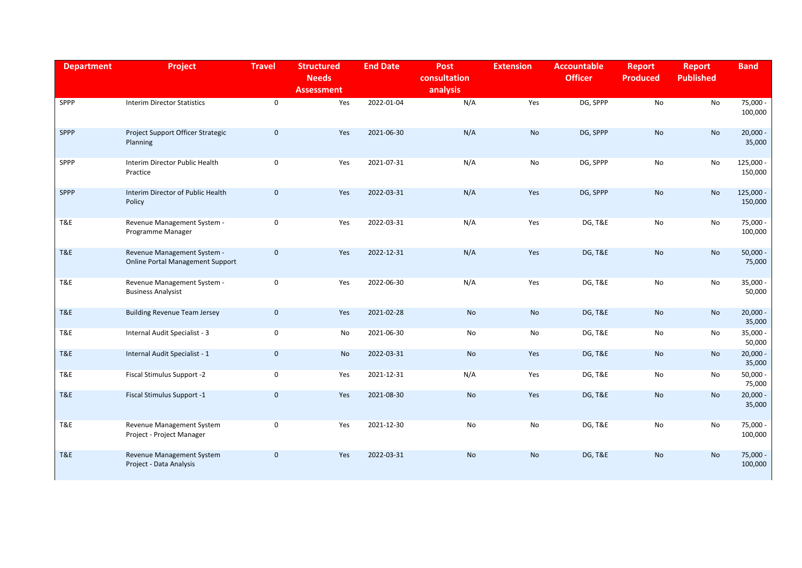| <b>Department</b> | <b>Project</b>                                                         | <b>Travel</b> | <b>Structured</b><br><b>Needs</b><br><b>Assessment</b> | <b>End Date</b> | <b>Post</b><br>consultation<br>analysis | <b>Extension</b> | <b>Accountable</b><br><b>Officer</b> | <b>Report</b><br><b>Produced</b> | <b>Report</b><br><b>Published</b> | <b>Band</b>            |
|-------------------|------------------------------------------------------------------------|---------------|--------------------------------------------------------|-----------------|-----------------------------------------|------------------|--------------------------------------|----------------------------------|-----------------------------------|------------------------|
| SPPP              | <b>Interim Director Statistics</b>                                     | $\mathbf 0$   | Yes                                                    | 2022-01-04      | N/A                                     | Yes              | DG, SPPP                             | No                               | No                                | 75,000 -<br>100,000    |
| SPPP              | Project Support Officer Strategic<br>Planning                          | $\mathbf 0$   | Yes                                                    | 2021-06-30      | N/A                                     | <b>No</b>        | DG, SPPP                             | <b>No</b>                        | <b>No</b>                         | $20,000 -$<br>35,000   |
| SPPP              | Interim Director Public Health<br>Practice                             | $\mathbf 0$   | Yes                                                    | 2021-07-31      | N/A                                     | No               | DG, SPPP                             | No                               | No                                | 125,000 -<br>150,000   |
| SPPP              | Interim Director of Public Health<br>Policy                            | $\mathbf 0$   | Yes                                                    | 2022-03-31      | N/A                                     | Yes              | DG, SPPP                             | <b>No</b>                        | <b>No</b>                         | $125,000 -$<br>150,000 |
| T&E               | Revenue Management System -<br>Programme Manager                       | $\mathbf 0$   | Yes                                                    | 2022-03-31      | N/A                                     | Yes              | <b>DG, T&amp;E</b>                   | No                               | No                                | 75,000 -<br>100,000    |
| T&E               | Revenue Management System -<br><b>Online Portal Management Support</b> | $\pmb{0}$     | Yes                                                    | 2022-12-31      | N/A                                     | Yes              | <b>DG, T&amp;E</b>                   | <b>No</b>                        | <b>No</b>                         | $50,000 -$<br>75,000   |
| T&E               | Revenue Management System -<br><b>Business Analysist</b>               | 0             | Yes                                                    | 2022-06-30      | N/A                                     | Yes              | <b>DG, T&amp;E</b>                   | No                               | No                                | $35,000 -$<br>50,000   |
| T&E               | <b>Building Revenue Team Jersey</b>                                    | $\mathbf 0$   | Yes                                                    | 2021-02-28      | <b>No</b>                               | <b>No</b>        | <b>DG, T&amp;E</b>                   | No                               | <b>No</b>                         | $20,000 -$<br>35,000   |
| T&E               | Internal Audit Specialist - 3                                          | 0             | No                                                     | 2021-06-30      | No                                      | No               | <b>DG, T&amp;E</b>                   | No                               | No                                | $35,000 -$<br>50,000   |
| T&E               | Internal Audit Specialist - 1                                          | $\mathbf 0$   | <b>No</b>                                              | 2022-03-31      | <b>No</b>                               | Yes              | <b>DG, T&amp;E</b>                   | No                               | No                                | $20,000 -$<br>35,000   |
| T&E               | Fiscal Stimulus Support -2                                             | 0             | Yes                                                    | 2021-12-31      | N/A                                     | Yes              | <b>DG, T&amp;E</b>                   | No                               | No                                | $50,000 -$<br>75,000   |
| T&E               | Fiscal Stimulus Support -1                                             | $\mathbf 0$   | Yes                                                    | 2021-08-30      | <b>No</b>                               | Yes              | <b>DG, T&amp;E</b>                   | <b>No</b>                        | <b>No</b>                         | $20,000 -$<br>35,000   |
| T&E               | Revenue Management System<br>Project - Project Manager                 | $\mathbf 0$   | Yes                                                    | 2021-12-30      | No                                      | No               | <b>DG, T&amp;E</b>                   | No                               | No                                | 75,000 -<br>100,000    |
| T&E               | Revenue Management System<br>Project - Data Analysis                   | $\mathbf 0$   | Yes                                                    | 2022-03-31      | <b>No</b>                               | No               | <b>DG, T&amp;E</b>                   | No                               | No                                | 75,000 -<br>100,000    |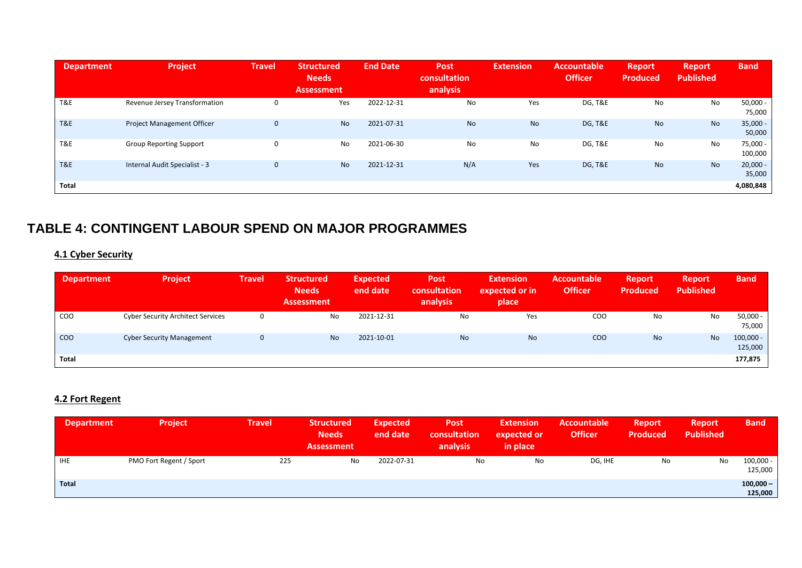| <b>Department</b> | <b>Project</b>                    | <b>Travel</b> | <b>Structured</b><br><b>Needs</b><br><b>Assessment</b> | <b>End Date</b> | <b>Post</b><br>consultation<br>analysis | <b>Extension</b> | Accountable<br><b>Officer</b> | <b>Report</b><br><b>Produced</b> | <b>Report</b><br><b>Published</b> | <b>Band</b>          |
|-------------------|-----------------------------------|---------------|--------------------------------------------------------|-----------------|-----------------------------------------|------------------|-------------------------------|----------------------------------|-----------------------------------|----------------------|
| T&E               | Revenue Jersey Transformation     | $\Omega$      | Yes                                                    | 2022-12-31      | No                                      | Yes              | DG, T&E                       | No                               | No                                | $50,000 -$<br>75,000 |
| T&E               | <b>Project Management Officer</b> | $\mathbf 0$   | <b>No</b>                                              | 2021-07-31      | <b>No</b>                               | <b>No</b>        | <b>DG, T&amp;E</b>            | <b>No</b>                        | <b>No</b>                         | $35,000 -$<br>50,000 |
| T&E               | <b>Group Reporting Support</b>    | $\Omega$      | No                                                     | 2021-06-30      | No                                      | No               | DG, T&E                       | No                               | No                                | 75,000 -<br>100,000  |
| <b>T&amp;E</b>    | Internal Audit Specialist - 3     | $\Omega$      | <b>No</b>                                              | 2021-12-31      | N/A                                     | Yes              | <b>DG, T&amp;E</b>            | <b>No</b>                        | <b>No</b>                         | $20,000 -$<br>35,000 |
| Total             |                                   |               |                                                        |                 |                                         |                  |                               |                                  |                                   | 4,080,848            |

### **TABLE 4: CONTINGENT LABOUR SPEND ON MAJOR PROGRAMMES**

### **4.1 Cyber Security**

| <b>Department</b> | <b>Project</b>                           | <b>Travel</b> | <b>Structured</b><br><b>Needs</b><br><b>Assessment</b> | Expected<br>end date | <b>Post</b><br>consultation<br>analysis | <b>Extension</b><br>expected or in<br>place | <b>Accountable</b><br><b>Officer</b> | <b>Report</b><br><b>Produced</b> | <b>Report</b><br><b>Published</b> | <b>Band</b>            |
|-------------------|------------------------------------------|---------------|--------------------------------------------------------|----------------------|-----------------------------------------|---------------------------------------------|--------------------------------------|----------------------------------|-----------------------------------|------------------------|
| <b>COO</b>        | <b>Cyber Security Architect Services</b> | 0             | No                                                     | 2021-12-31           | <b>No</b>                               | Yes                                         | <b>COO</b>                           | No                               | No                                | $50,000 -$<br>75,000   |
| <b>COO</b>        | <b>Cyber Security Management</b>         | $\mathbf 0$   | <b>No</b>                                              | 2021-10-01           | <b>No</b>                               | <b>No</b>                                   | COO                                  | <b>No</b>                        | <b>No</b>                         | $100,000 -$<br>125,000 |
| <b>Total</b>      |                                          |               |                                                        |                      |                                         |                                             |                                      |                                  |                                   | 177,875                |

### **4.2 Fort Regent**

| <b>Department</b> | <b>Project</b>          | <b>Travel</b> | <b>Structured</b><br><b>Needs</b><br><b>Assessment</b> | <b>Expected</b><br>end date | Post<br>consultation<br>analysis | <b>Extension</b><br>expected or<br>in place | Accountable<br><b>Officer</b> | <b>Report</b><br><b>Produced</b> | <b>Report</b><br><b>Published</b> | <b>Band</b>            |
|-------------------|-------------------------|---------------|--------------------------------------------------------|-----------------------------|----------------------------------|---------------------------------------------|-------------------------------|----------------------------------|-----------------------------------|------------------------|
| <b>IHE</b>        | PMO Fort Regent / Sport | 225           | No                                                     | 2022-07-31                  | No                               | No                                          | DG, IHE                       | No                               | No                                | $100,000 -$<br>125,000 |
| <b>Total</b>      |                         |               |                                                        |                             |                                  |                                             |                               |                                  |                                   | $100,000 -$<br>125,000 |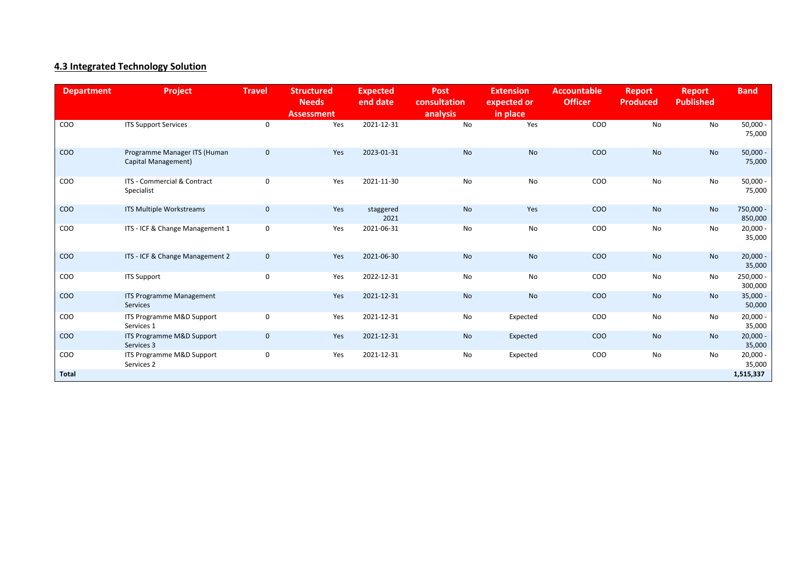### **4.3 Integrated Technology Solution**

| <b>Department</b> | Project                                             | <b>Travel</b> | <b>Structured</b><br><b>Needs</b><br><b>Assessment</b> | <b>Expected</b><br>end date | <b>Post</b><br>consultation<br>analysis | <b>Extension</b><br>expected or<br>in place | <b>Accountable</b><br><b>Officer</b> | <b>Report</b><br><b>Produced</b> | <b>Report</b><br><b>Published</b> | <b>Band</b>          |
|-------------------|-----------------------------------------------------|---------------|--------------------------------------------------------|-----------------------------|-----------------------------------------|---------------------------------------------|--------------------------------------|----------------------------------|-----------------------------------|----------------------|
| COO               | <b>ITS Support Services</b>                         | 0             | Yes                                                    | 2021-12-31                  | No                                      | Yes                                         | COO                                  | No                               | No                                | $50,000 -$<br>75,000 |
| COO               | Programme Manager ITS (Human<br>Capital Management) | $\mathbf 0$   | Yes                                                    | 2023-01-31                  | <b>No</b>                               | No                                          | COO                                  | <b>No</b>                        | No                                | $50,000 -$<br>75,000 |
| COO               | ITS - Commercial & Contract<br>Specialist           | $\mathbf 0$   | Yes                                                    | 2021-11-30                  | No                                      | No                                          | COO                                  | No                               | No                                | $50,000 -$<br>75,000 |
| COO               | ITS Multiple Workstreams                            | $\mathbf 0$   | Yes                                                    | staggered<br>2021           | <b>No</b>                               | Yes                                         | COO                                  | No                               | <b>No</b>                         | 750,000 -<br>850,000 |
| COO               | ITS - ICF & Change Management 1                     | $\mathbf 0$   | Yes                                                    | 2021-06-31                  | No                                      | No                                          | COO                                  | No                               | No                                | $20,000 -$<br>35,000 |
| COO               | ITS - ICF & Change Management 2                     | $\mathbf 0$   | Yes                                                    | 2021-06-30                  | No                                      | No                                          | COO                                  | No                               | No                                | $20,000 -$<br>35,000 |
| COO               | <b>ITS Support</b>                                  | $\mathbf 0$   | Yes                                                    | 2022-12-31                  | No                                      | No                                          | COO                                  | No                               | No                                | 250,000 -<br>300,000 |
| COO               | ITS Programme Management<br><b>Services</b>         |               | Yes                                                    | 2021-12-31                  | <b>No</b>                               | No                                          | COO                                  | <b>No</b>                        | <b>No</b>                         | $35,000 -$<br>50,000 |
| COO               | ITS Programme M&D Support<br>Services 1             | $\mathbf 0$   | Yes                                                    | 2021-12-31                  | No                                      | Expected                                    | COO                                  | No                               | No                                | $20,000 -$<br>35,000 |
| COO               | ITS Programme M&D Support<br>Services 3             | $\mathbf 0$   | Yes                                                    | 2021-12-31                  | <b>No</b>                               | Expected                                    | <b>COO</b>                           | No                               | <b>No</b>                         | $20,000 -$<br>35,000 |
| COO               | ITS Programme M&D Support<br>Services 2             | $\mathbf 0$   | Yes                                                    | 2021-12-31                  | No                                      | Expected                                    | COO                                  | No                               | No                                | $20,000 -$<br>35,000 |
| <b>Total</b>      |                                                     |               |                                                        |                             |                                         |                                             |                                      |                                  |                                   | 1,515,337            |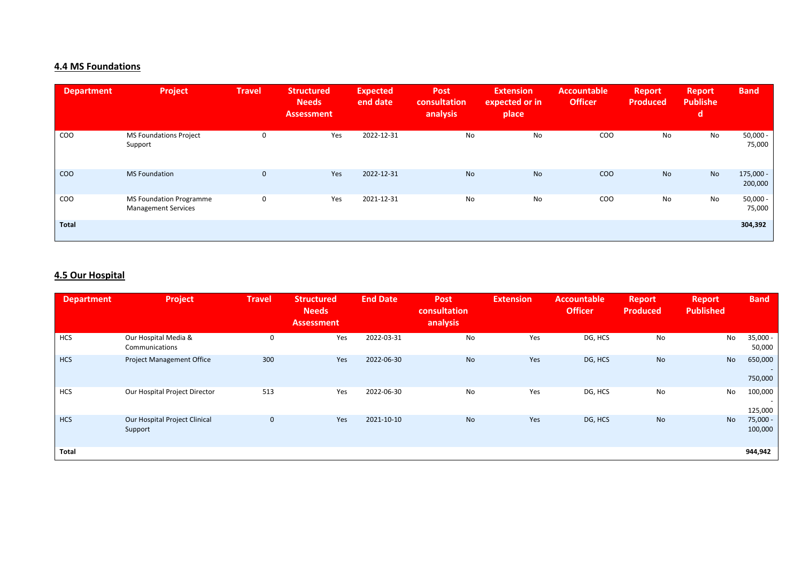### **4.4 MS Foundations**

| <b>Department</b> | Project                                                      | <b>Travel</b> | <b>Structured</b><br><b>Needs</b><br><b>Assessment</b> | <b>Expected</b><br>end date | <b>Post</b><br>consultation<br>analysis | <b>Extension</b><br>expected or in<br>place | <b>Accountable</b><br><b>Officer</b> | <b>Report</b><br><b>Produced</b> | <b>Report</b><br><b>Publishe</b><br>d | <b>Band</b>          |
|-------------------|--------------------------------------------------------------|---------------|--------------------------------------------------------|-----------------------------|-----------------------------------------|---------------------------------------------|--------------------------------------|----------------------------------|---------------------------------------|----------------------|
| COO               | <b>MS Foundations Project</b><br>Support                     | $\Omega$      | Yes                                                    | 2022-12-31                  | No                                      | No                                          | COO                                  | No                               | No                                    | $50,000 -$<br>75,000 |
| COO               | <b>MS Foundation</b>                                         | $\mathbf{0}$  | Yes                                                    | 2022-12-31                  | <b>No</b>                               | <b>No</b>                                   | COO                                  | <b>No</b>                        | <b>No</b>                             | 175,000 -<br>200,000 |
| COO               | <b>MS Foundation Programme</b><br><b>Management Services</b> | $\mathbf 0$   | Yes                                                    | 2021-12-31                  | No                                      | No                                          | COO                                  | No                               | No                                    | $50,000 -$<br>75,000 |
| Total             |                                                              |               |                                                        |                             |                                         |                                             |                                      |                                  |                                       | 304,392              |

### **4.5 Our Hospital**

| <b>Department</b> | Project                                  | <b>Travel</b> | <b>Structured</b><br><b>Needs</b><br><b>Assessment</b> | <b>End Date</b> | <b>Post</b><br>consultation<br>analysis | <b>Extension</b> | <b>Accountable</b><br><b>Officer</b> | <b>Report</b><br><b>Produced</b> | <b>Report</b><br><b>Published</b> | <b>Band</b>                                    |
|-------------------|------------------------------------------|---------------|--------------------------------------------------------|-----------------|-----------------------------------------|------------------|--------------------------------------|----------------------------------|-----------------------------------|------------------------------------------------|
| <b>HCS</b>        | Our Hospital Media &<br>Communications   | 0             | Yes                                                    | 2022-03-31      | No                                      | Yes              | DG, HCS                              | No                               | No                                | $35,000 -$<br>50,000                           |
| <b>HCS</b>        | <b>Project Management Office</b>         | 300           | Yes                                                    | 2022-06-30      | <b>No</b>                               | Yes              | DG, HCS                              | <b>No</b>                        | No                                | 650,000<br>$\overline{\phantom{a}}$<br>750,000 |
| <b>HCS</b>        | Our Hospital Project Director            | 513           | Yes                                                    | 2022-06-30      | No                                      | Yes              | DG, HCS                              | No                               | No                                | 100,000<br>$\overline{\phantom{a}}$<br>125,000 |
| <b>HCS</b>        | Our Hospital Project Clinical<br>Support | $\mathbf 0$   | Yes                                                    | 2021-10-10      | <b>No</b>                               | Yes              | DG, HCS                              | <b>No</b>                        | No                                | $75,000 -$<br>100,000                          |
| Total             |                                          |               |                                                        |                 |                                         |                  |                                      |                                  |                                   | 944,942                                        |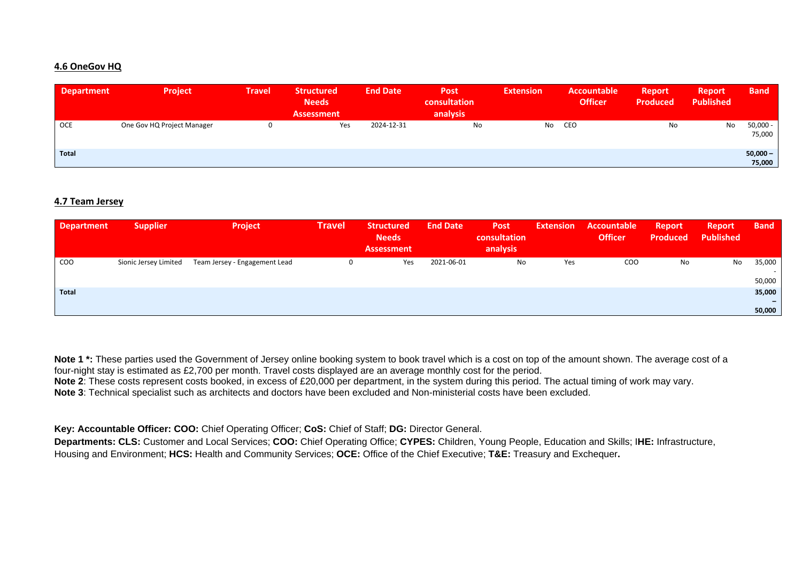#### **4.6 OneGov HQ**

| <b>Department</b> | <b>Project</b>             | <b>Travel</b> | <b>Structured</b><br><b>Needs</b><br><b>Assessment</b> | <b>End Date</b> | <b>Post</b><br>consultation<br>analysis | <b>Extension</b> | Accountable<br><b>Officer</b> | <b>Report</b><br><b>Produced</b> | /Report<br><b>Published</b> | <b>Band</b>          |
|-------------------|----------------------------|---------------|--------------------------------------------------------|-----------------|-----------------------------------------|------------------|-------------------------------|----------------------------------|-----------------------------|----------------------|
| <b>OCE</b>        | One Gov HQ Project Manager | 0             | Yes                                                    | 2024-12-31      | No                                      | No               | CEO                           | No                               | No                          | $50,000 -$<br>75,000 |
| <b>Total</b>      |                            |               |                                                        |                 |                                         |                  |                               |                                  |                             | $50,000 -$<br>75,000 |

#### **4.7 Team Jersey**

| <b>Department</b> | <b>Supplier</b>       | <b>Project</b>                | <b>Travel</b> | <b>Structured</b><br><b>Needs</b><br><b>Assessment</b> | <b>End Date</b> | <b>Post</b><br>consultation<br>analysis | <b>Extension</b> | Accountable<br><b>Officer</b> | <b>Report</b><br><b>Produced</b> | Report<br><b>Published</b> | <b>Band</b> |
|-------------------|-----------------------|-------------------------------|---------------|--------------------------------------------------------|-----------------|-----------------------------------------|------------------|-------------------------------|----------------------------------|----------------------------|-------------|
| COO               | Sionic Jersey Limited | Team Jersey - Engagement Lead | 0             | Yes                                                    | 2021-06-01      | No                                      | Yes              | COO                           | No                               | No                         | 35,000      |
|                   |                       |                               |               |                                                        |                 |                                         |                  |                               |                                  |                            | 50,000      |
| <b>Total</b>      |                       |                               |               |                                                        |                 |                                         |                  |                               |                                  |                            | 35,000      |
|                   |                       |                               |               |                                                        |                 |                                         |                  |                               |                                  |                            |             |
|                   |                       |                               |               |                                                        |                 |                                         |                  |                               |                                  |                            | 50,000      |

Note 1<sup>\*</sup>: These parties used the Government of Jersey online booking system to book travel which is a cost on top of the amount shown. The average cost of a four-night stay is estimated as £2,700 per month. Travel costs displayed are an average monthly cost for the period. **Note 2**: These costs represent costs booked, in excess of £20,000 per department, in the system during this period. The actual timing of work may vary. **Note 3**: Technical specialist such as architects and doctors have been excluded and Non-ministerial costs have been excluded.

**Key: Accountable Officer: COO:** Chief Operating Officer; **CoS:** Chief of Staff; **DG:** Director General.

**Departments: CLS:** Customer and Local Services; **COO:** Chief Operating Office; **CYPES:** Children, Young People, Education and Skills; I**HE:** Infrastructure, Housing and Environment; **HCS:** Health and Community Services; **OCE:** Office of the Chief Executive; **T&E:** Treasury and Exchequer**.**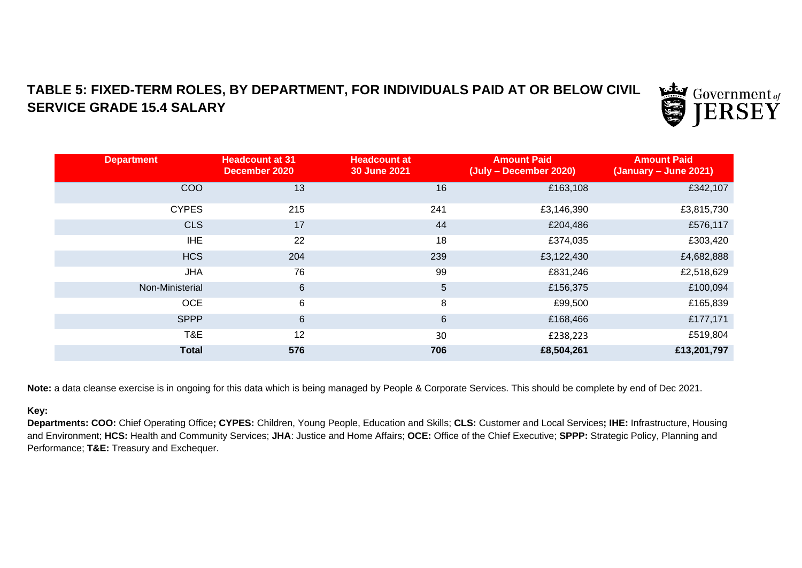### **TABLE 5: FIXED-TERM ROLES, BY DEPARTMENT, FOR INDIVIDUALS PAID AT OR BELOW CIVIL SERVICE GRADE 15.4 SALARY**



| <b>Department</b> | <b>Headcount at 31</b><br>December 2020 | <b>Headcount at</b><br>30 June 2021 | <b>Amount Paid</b><br>(July - December 2020) | <b>Amount Paid</b><br>$(January - June 2021)$ |
|-------------------|-----------------------------------------|-------------------------------------|----------------------------------------------|-----------------------------------------------|
| <b>COO</b>        | 13                                      | 16                                  | £163,108                                     | £342,107                                      |
| <b>CYPES</b>      | 215                                     | 241                                 | £3,146,390                                   | £3,815,730                                    |
| <b>CLS</b>        | 17                                      | 44                                  | £204,486                                     | £576,117                                      |
| <b>IHE</b>        | 22                                      | 18                                  | £374,035                                     | £303,420                                      |
| <b>HCS</b>        | 204                                     | 239                                 | £3,122,430                                   | £4,682,888                                    |
| <b>JHA</b>        | 76                                      | 99                                  | £831,246                                     | £2,518,629                                    |
| Non-Ministerial   | $6\phantom{1}$                          | 5                                   | £156,375                                     | £100,094                                      |
| <b>OCE</b>        | 6                                       | 8                                   | £99,500                                      | £165,839                                      |
| <b>SPPP</b>       | 6                                       | $6\phantom{1}$                      | £168,466                                     | £177,171                                      |
| T&E               | 12                                      | 30                                  | £238,223                                     | £519,804                                      |
| <b>Total</b>      | 576                                     | 706                                 | £8,504,261                                   | £13,201,797                                   |

**Note:** a data cleanse exercise is in ongoing for this data which is being managed by People & Corporate Services. This should be complete by end of Dec 2021.

### **Key:**

**Departments: COO:** Chief Operating Office**; CYPES:** Children, Young People, Education and Skills; **CLS:** Customer and Local Services**; IHE:** Infrastructure, Housing and Environment; **HCS:** Health and Community Services; **JHA**: Justice and Home Affairs; **OCE:** Office of the Chief Executive; **SPPP:** Strategic Policy, Planning and Performance; **T&E:** Treasury and Exchequer.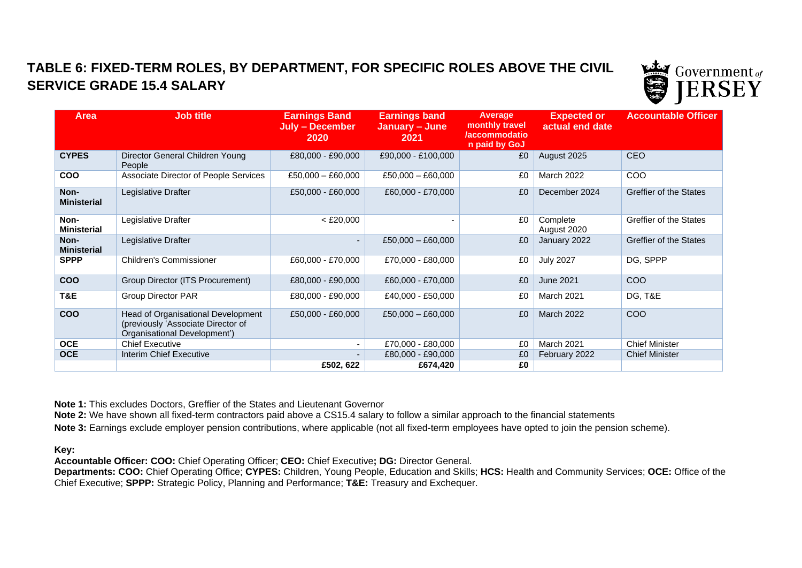## **TABLE 6: FIXED-TERM ROLES, BY DEPARTMENT, FOR SPECIFIC ROLES ABOVE THE CIVIL SERVICE GRADE 15.4 SALARY**



| <b>Area</b>                | <b>Job title</b>                                                                                         | <b>Earnings Band</b><br><b>July - December</b><br><b>2020</b> | <b>Earnings band</b><br>January - June<br>2021 | Average<br>monthly travel<br><b>/accommodatio</b><br>n paid by GoJ | <b>Expected or</b><br>actual end date | <b>Accountable Officer</b> |
|----------------------------|----------------------------------------------------------------------------------------------------------|---------------------------------------------------------------|------------------------------------------------|--------------------------------------------------------------------|---------------------------------------|----------------------------|
| <b>CYPES</b>               | Director General Children Young<br>People                                                                | £80,000 - £90,000                                             | £90,000 - £100,000                             | £0                                                                 | August 2025                           | <b>CEO</b>                 |
| <b>COO</b>                 | Associate Director of People Services                                                                    | £50,000 - £60,000                                             | $£50,000 - £60,000$                            | £0                                                                 | March 2022                            | COO                        |
| Non-<br><b>Ministerial</b> | Legislative Drafter                                                                                      | £50,000 - £60,000                                             | £60,000 - £70,000                              | £0                                                                 | December 2024                         | Greffier of the States     |
| Non-<br><b>Ministerial</b> | Legislative Drafter                                                                                      | $<$ £20,000                                                   |                                                | £0                                                                 | Complete<br>August 2020               | Greffier of the States     |
| Non-<br><b>Ministerial</b> | Legislative Drafter                                                                                      |                                                               | £50,000 - £60,000                              | £0                                                                 | January 2022                          | Greffier of the States     |
| <b>SPPP</b>                | <b>Children's Commissioner</b>                                                                           | £60,000 - £70,000                                             | £70,000 - £80,000                              | £0                                                                 | <b>July 2027</b>                      | DG, SPPP                   |
| <b>COO</b>                 | Group Director (ITS Procurement)                                                                         | £80,000 - £90,000                                             | £60,000 - £70,000                              | £0                                                                 | <b>June 2021</b>                      | COO                        |
| T&E                        | <b>Group Director PAR</b>                                                                                | £80,000 - £90,000                                             | £40,000 - £50,000                              | £0                                                                 | March 2021                            | DG, T&E                    |
| <b>COO</b>                 | Head of Organisational Development<br>(previously 'Associate Director of<br>Organisational Development') | £50,000 - £60,000                                             | £50,000 $-$ £60,000                            | £0                                                                 | March 2022                            | COO                        |
| <b>OCE</b>                 | <b>Chief Executive</b>                                                                                   |                                                               | £70,000 - £80,000                              | £0                                                                 | March 2021                            | <b>Chief Minister</b>      |
| <b>OCE</b>                 | Interim Chief Executive                                                                                  |                                                               | £80,000 - £90,000                              | £0                                                                 | February 2022                         | <b>Chief Minister</b>      |
|                            |                                                                                                          | £502, 622                                                     | £674,420                                       | £0                                                                 |                                       |                            |

**Note 1:** This excludes Doctors, Greffier of the States and Lieutenant Governor

**Note 2:** We have shown all fixed-term contractors paid above a CS15.4 salary to follow a similar approach to the financial statements

**Note 3:** Earnings exclude employer pension contributions, where applicable (not all fixed-term employees have opted to join the pension scheme).

**Key:** 

**Accountable Officer: COO:** Chief Operating Officer; **CEO:** Chief Executive**; DG:** Director General.

**Departments: COO:** Chief Operating Office; **CYPES:** Children, Young People, Education and Skills; **HCS:** Health and Community Services; **OCE:** Office of the Chief Executive; **SPPP:** Strategic Policy, Planning and Performance; **T&E:** Treasury and Exchequer.